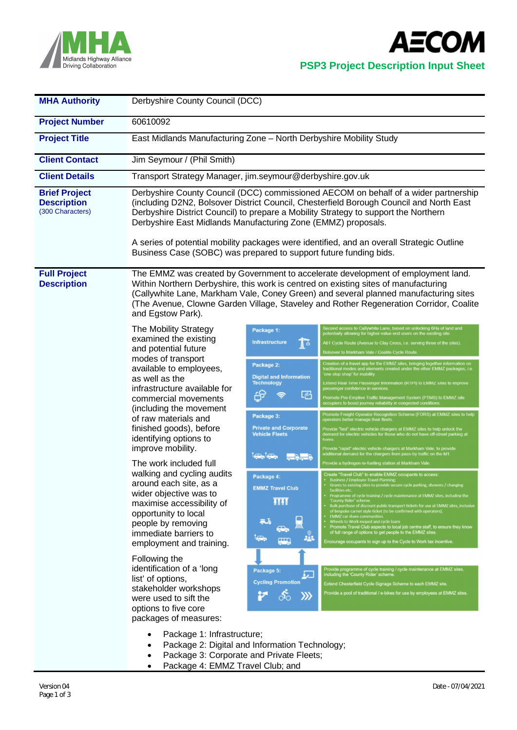

**AECOM** 

## **PSP3 Project Description Input Sheet**

| <b>MHA Authority</b>                                           | Derbyshire County Council (DCC)                                                                                                                                                                                                                                                                                                                                                                                                                                                                                                                                            |                                                                                                                                                                                                                                                                                          |                                                                                                                                                                                                                                                                                                                                                                                                                                                                                                                                                                                                                                                                                                                                                                                                                                                                                                                                                                                                                                                                                                                                                                                                                                                                                                                                                                                                                                                                                                                                                                                                                                                                                                                                                                                                                                                                                                                                                                                    |  |  |  |
|----------------------------------------------------------------|----------------------------------------------------------------------------------------------------------------------------------------------------------------------------------------------------------------------------------------------------------------------------------------------------------------------------------------------------------------------------------------------------------------------------------------------------------------------------------------------------------------------------------------------------------------------------|------------------------------------------------------------------------------------------------------------------------------------------------------------------------------------------------------------------------------------------------------------------------------------------|------------------------------------------------------------------------------------------------------------------------------------------------------------------------------------------------------------------------------------------------------------------------------------------------------------------------------------------------------------------------------------------------------------------------------------------------------------------------------------------------------------------------------------------------------------------------------------------------------------------------------------------------------------------------------------------------------------------------------------------------------------------------------------------------------------------------------------------------------------------------------------------------------------------------------------------------------------------------------------------------------------------------------------------------------------------------------------------------------------------------------------------------------------------------------------------------------------------------------------------------------------------------------------------------------------------------------------------------------------------------------------------------------------------------------------------------------------------------------------------------------------------------------------------------------------------------------------------------------------------------------------------------------------------------------------------------------------------------------------------------------------------------------------------------------------------------------------------------------------------------------------------------------------------------------------------------------------------------------------|--|--|--|
| <b>Project Number</b>                                          | 60610092                                                                                                                                                                                                                                                                                                                                                                                                                                                                                                                                                                   |                                                                                                                                                                                                                                                                                          |                                                                                                                                                                                                                                                                                                                                                                                                                                                                                                                                                                                                                                                                                                                                                                                                                                                                                                                                                                                                                                                                                                                                                                                                                                                                                                                                                                                                                                                                                                                                                                                                                                                                                                                                                                                                                                                                                                                                                                                    |  |  |  |
| <b>Project Title</b>                                           | East Midlands Manufacturing Zone - North Derbyshire Mobility Study                                                                                                                                                                                                                                                                                                                                                                                                                                                                                                         |                                                                                                                                                                                                                                                                                          |                                                                                                                                                                                                                                                                                                                                                                                                                                                                                                                                                                                                                                                                                                                                                                                                                                                                                                                                                                                                                                                                                                                                                                                                                                                                                                                                                                                                                                                                                                                                                                                                                                                                                                                                                                                                                                                                                                                                                                                    |  |  |  |
| <b>Client Contact</b>                                          | Jim Seymour / (Phil Smith)                                                                                                                                                                                                                                                                                                                                                                                                                                                                                                                                                 |                                                                                                                                                                                                                                                                                          |                                                                                                                                                                                                                                                                                                                                                                                                                                                                                                                                                                                                                                                                                                                                                                                                                                                                                                                                                                                                                                                                                                                                                                                                                                                                                                                                                                                                                                                                                                                                                                                                                                                                                                                                                                                                                                                                                                                                                                                    |  |  |  |
| <b>Client Details</b>                                          | Transport Strategy Manager, jim.seymour@derbyshire.gov.uk                                                                                                                                                                                                                                                                                                                                                                                                                                                                                                                  |                                                                                                                                                                                                                                                                                          |                                                                                                                                                                                                                                                                                                                                                                                                                                                                                                                                                                                                                                                                                                                                                                                                                                                                                                                                                                                                                                                                                                                                                                                                                                                                                                                                                                                                                                                                                                                                                                                                                                                                                                                                                                                                                                                                                                                                                                                    |  |  |  |
| <b>Brief Project</b><br><b>Description</b><br>(300 Characters) | Derbyshire County Council (DCC) commissioned AECOM on behalf of a wider partnership<br>(including D2N2, Bolsover District Council, Chesterfield Borough Council and North East<br>Derbyshire District Council) to prepare a Mobility Strategy to support the Northern<br>Derbyshire East Midlands Manufacturing Zone (EMMZ) proposals.<br>A series of potential mobility packages were identified, and an overall Strategic Outline<br>Business Case (SOBC) was prepared to support future funding bids.                                                                   |                                                                                                                                                                                                                                                                                          |                                                                                                                                                                                                                                                                                                                                                                                                                                                                                                                                                                                                                                                                                                                                                                                                                                                                                                                                                                                                                                                                                                                                                                                                                                                                                                                                                                                                                                                                                                                                                                                                                                                                                                                                                                                                                                                                                                                                                                                    |  |  |  |
| <b>Full Project</b><br><b>Description</b>                      | The EMMZ was created by Government to accelerate development of employment land.<br>Within Northern Derbyshire, this work is centred on existing sites of manufacturing<br>(Callywhite Lane, Markham Vale, Coney Green) and several planned manufacturing sites<br>(The Avenue, Clowne Garden Village, Staveley and Rother Regeneration Corridor, Coalite<br>and Egstow Park).                                                                                                                                                                                             |                                                                                                                                                                                                                                                                                          |                                                                                                                                                                                                                                                                                                                                                                                                                                                                                                                                                                                                                                                                                                                                                                                                                                                                                                                                                                                                                                                                                                                                                                                                                                                                                                                                                                                                                                                                                                                                                                                                                                                                                                                                                                                                                                                                                                                                                                                    |  |  |  |
|                                                                | The Mobility Strategy<br>examined the existing<br>and potential future<br>modes of transport<br>available to employees,<br>as well as the<br>infrastructure available for<br>commercial movements<br>(including the movement<br>of raw materials and<br>finished goods), before<br>identifying options to<br>improve mobility.<br>The work included full<br>walking and cycling audits<br>around each site, as a<br>wider objective was to<br>maximise accessibility of<br>opportunity to local<br>people by removing<br>immediate barriers to<br>employment and training. | Package 1:<br><b>Infrastructure</b><br>$\mathbf{I}$<br>Package 2:<br><b>Digital and Information</b><br><b>Technology</b><br>啞<br>Package 3:<br><b>Private and Corporate</b><br><b>Vehicle Fleets</b><br>وها وها<br><b>ERGER</b><br>Package 4:<br><b>EMMZ Travel Club</b><br>m<br>aJ.<br> | Second access to Callywhite Lane, based on unlocking 6Ha of land and<br>potentially allowing for higher-value end users on the existing site.<br>A61 Cycle Route (Avenue to Clay Cross, i.e. serving three of the sites).<br>Bolsover to Markham Vale / Coalite Cycle Route.<br>Creation of a travel app for the EMMZ sites, bringing together information on<br>traditional modes and elements created under the other EMMZ packages; i.e<br>one stop shop' for mobility<br>Extend Real Time Passenger Intormation (RTPI) to EMMZ sites to improve<br>passenger confidence in services<br>Promote Pre-Emptive Traffic Management System (PTMS) to EMMZ site<br>ccupiers to boost journey reliability in congested condition<br>Promote Freight Operator Recognition Scheme (FORS) at EMMZ sites to help<br>operators better manage their fleets<br>Provide "fast" electric vehicle chargers at EMMZ sites to help unlock the<br>demand for electric vehicles for those who do not have off-street parking at<br>Provide "rapid" electric vehicle chargers at Markham Vale, to provide<br>additional demand for the chargers from pass-by traffic on the M1.<br>Provide a hydrogen re-fuelling station at Markham Vale<br>Create "Travel Club" to enable EMMZ occupants to access<br>· Business / Employee Travel Planning;<br>Grants to existing sites to provide secure cycle parking, showers / changing<br>Programme of cycle training / cycle maintenance at EMMZ sites, including the<br><b>County Rider' scheme</b><br>Bulk purchase of discount public transport tickets for use at EMMZ sites, inclusive<br>of bespoke carnet style ticket (to be confirmed with operators).<br><b>EMMZ</b> car share communitie<br>Wheels to Work moped and cycle loans<br>Promote Travel Club aspects to local job centre staff, to ensure they know<br>of full range of options to get people to the EMMZ sites.<br>Encourage occupants to sign up to the Cycle to Work tax incentive. |  |  |  |
|                                                                | Following the<br>identification of a 'long<br>list' of options,<br>stakeholder workshops<br>were used to sift the<br>options to five core<br>packages of measures:                                                                                                                                                                                                                                                                                                                                                                                                         | Package 5:<br><b>Cycling Promotion</b>                                                                                                                                                                                                                                                   | Provide programme of cycle training / cycle maintenance at EMMZ sites,<br>including the 'County Rider' scheme.<br>Extend Chesterfield Cycle Signage Scheme to each EMMZ site<br>Provide a pool of traditional / e-bikes for use by employees at EMMZ sites.                                                                                                                                                                                                                                                                                                                                                                                                                                                                                                                                                                                                                                                                                                                                                                                                                                                                                                                                                                                                                                                                                                                                                                                                                                                                                                                                                                                                                                                                                                                                                                                                                                                                                                                        |  |  |  |
|                                                                | Package 1: Infrastructure;<br>Package 2: Digital and Information Technology;<br>Package 3: Corporate and Private Fleets;                                                                                                                                                                                                                                                                                                                                                                                                                                                   |                                                                                                                                                                                                                                                                                          |                                                                                                                                                                                                                                                                                                                                                                                                                                                                                                                                                                                                                                                                                                                                                                                                                                                                                                                                                                                                                                                                                                                                                                                                                                                                                                                                                                                                                                                                                                                                                                                                                                                                                                                                                                                                                                                                                                                                                                                    |  |  |  |

• Package 4: EMMZ Travel Club; and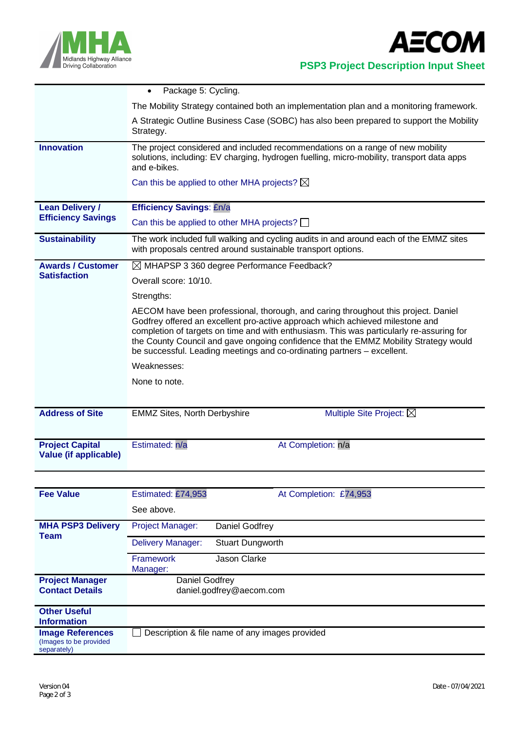

 **PSP3 Project Description Input Sheet**

|                                                        | Package 5: Cycling.<br>$\bullet$                                                                                                                                                                                                                                                                                                                                                                                                   |  |  |  |  |  |
|--------------------------------------------------------|------------------------------------------------------------------------------------------------------------------------------------------------------------------------------------------------------------------------------------------------------------------------------------------------------------------------------------------------------------------------------------------------------------------------------------|--|--|--|--|--|
|                                                        | The Mobility Strategy contained both an implementation plan and a monitoring framework.                                                                                                                                                                                                                                                                                                                                            |  |  |  |  |  |
|                                                        | A Strategic Outline Business Case (SOBC) has also been prepared to support the Mobility<br>Strategy.                                                                                                                                                                                                                                                                                                                               |  |  |  |  |  |
| <b>Innovation</b>                                      | The project considered and included recommendations on a range of new mobility<br>solutions, including: EV charging, hydrogen fuelling, micro-mobility, transport data apps<br>and e-bikes.                                                                                                                                                                                                                                        |  |  |  |  |  |
|                                                        | Can this be applied to other MHA projects? $\boxtimes$                                                                                                                                                                                                                                                                                                                                                                             |  |  |  |  |  |
| <b>Lean Delivery /</b>                                 | <b>Efficiency Savings: £n/a</b>                                                                                                                                                                                                                                                                                                                                                                                                    |  |  |  |  |  |
| <b>Efficiency Savings</b>                              | Can this be applied to other MHA projects? $\Box$                                                                                                                                                                                                                                                                                                                                                                                  |  |  |  |  |  |
| <b>Sustainability</b>                                  | The work included full walking and cycling audits in and around each of the EMMZ sites<br>with proposals centred around sustainable transport options.                                                                                                                                                                                                                                                                             |  |  |  |  |  |
| <b>Awards / Customer</b>                               | $\boxtimes$ MHAPSP 3 360 degree Performance Feedback?                                                                                                                                                                                                                                                                                                                                                                              |  |  |  |  |  |
| <b>Satisfaction</b>                                    | Overall score: 10/10.                                                                                                                                                                                                                                                                                                                                                                                                              |  |  |  |  |  |
|                                                        | Strengths:                                                                                                                                                                                                                                                                                                                                                                                                                         |  |  |  |  |  |
|                                                        | AECOM have been professional, thorough, and caring throughout this project. Daniel<br>Godfrey offered an excellent pro-active approach which achieved milestone and<br>completion of targets on time and with enthusiasm. This was particularly re-assuring for<br>the County Council and gave ongoing confidence that the EMMZ Mobility Strategy would<br>be successful. Leading meetings and co-ordinating partners - excellent. |  |  |  |  |  |
|                                                        | Weaknesses:                                                                                                                                                                                                                                                                                                                                                                                                                        |  |  |  |  |  |
|                                                        | None to note.                                                                                                                                                                                                                                                                                                                                                                                                                      |  |  |  |  |  |
|                                                        |                                                                                                                                                                                                                                                                                                                                                                                                                                    |  |  |  |  |  |
| <b>Address of Site</b>                                 | <b>EMMZ Sites, North Derbyshire</b><br>Multiple Site Project: $\boxtimes$                                                                                                                                                                                                                                                                                                                                                          |  |  |  |  |  |
|                                                        |                                                                                                                                                                                                                                                                                                                                                                                                                                    |  |  |  |  |  |
| <b>Project Capital</b><br><b>Value (if applicable)</b> | Estimated: n/a<br>At Completion: n/a                                                                                                                                                                                                                                                                                                                                                                                               |  |  |  |  |  |
|                                                        |                                                                                                                                                                                                                                                                                                                                                                                                                                    |  |  |  |  |  |
| <b>Fee Value</b>                                       | Estimated: £74,953<br>At Completion: £74,953                                                                                                                                                                                                                                                                                                                                                                                       |  |  |  |  |  |
|                                                        | See above.                                                                                                                                                                                                                                                                                                                                                                                                                         |  |  |  |  |  |

| <b>MHA PSP3 Delivery</b><br>Team                                  | <b>Project Manager:</b>                        | Daniel Godfrey          |
|-------------------------------------------------------------------|------------------------------------------------|-------------------------|
|                                                                   | <b>Delivery Manager:</b>                       | <b>Stuart Dungworth</b> |
|                                                                   | <b>Framework</b><br>Manager:                   | Jason Clarke            |
| <b>Project Manager</b><br><b>Contact Details</b>                  | Daniel Godfrey<br>daniel.godfrey@aecom.com     |                         |
| <b>Other Useful</b><br><b>Information</b>                         |                                                |                         |
| <b>Image References</b><br>(Images to be provided)<br>separately) | Description & file name of any images provided |                         |